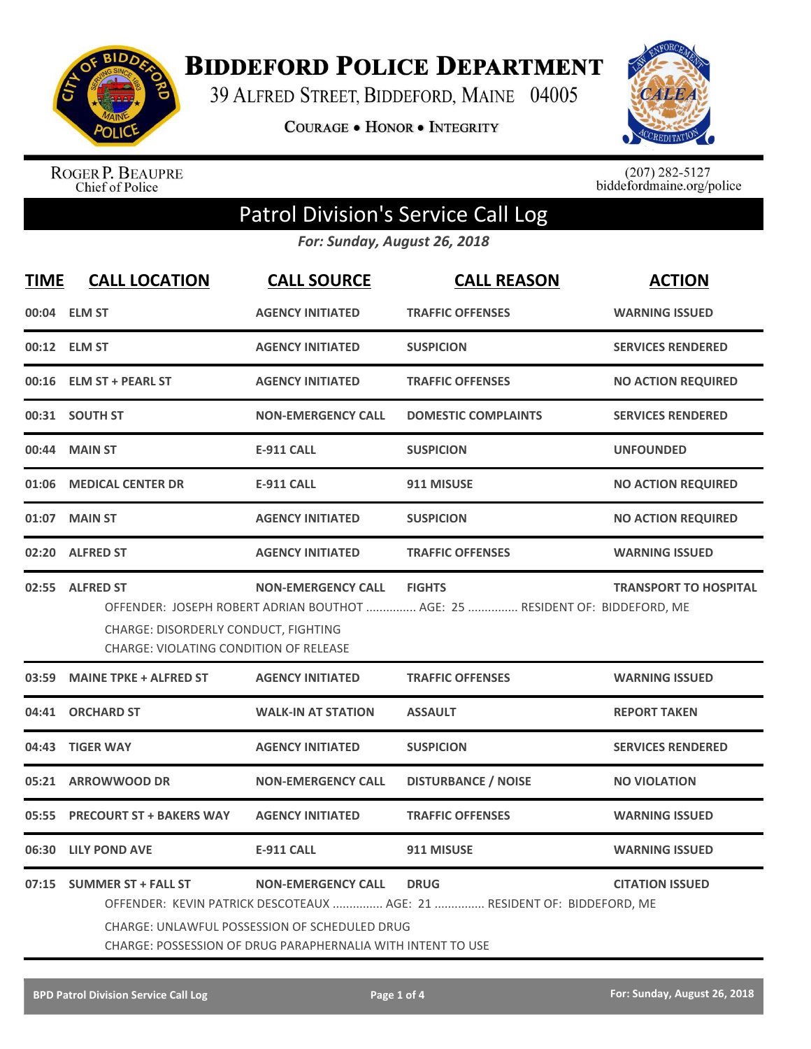

**BIDDEFORD POLICE DEPARTMENT** 

39 ALFRED STREET, BIDDEFORD, MAINE 04005

**COURAGE . HONOR . INTEGRITY** 



ROGER P. BEAUPRE<br>Chief of Police

 $(207)$  282-5127<br>biddefordmaine.org/police

# Patrol Division's Service Call Log

*For: Sunday, August 26, 2018*

| <b>TIME</b> | <b>CALL LOCATION</b>                                                                                                                                                                                                                                                                              | <b>CALL SOURCE</b>        | <b>CALL REASON</b>                                                                           | <b>ACTION</b>                |
|-------------|---------------------------------------------------------------------------------------------------------------------------------------------------------------------------------------------------------------------------------------------------------------------------------------------------|---------------------------|----------------------------------------------------------------------------------------------|------------------------------|
|             | 00:04 ELM ST                                                                                                                                                                                                                                                                                      | <b>AGENCY INITIATED</b>   | <b>TRAFFIC OFFENSES</b>                                                                      | <b>WARNING ISSUED</b>        |
|             | 00:12 ELM ST                                                                                                                                                                                                                                                                                      | <b>AGENCY INITIATED</b>   | <b>SUSPICION</b>                                                                             | <b>SERVICES RENDERED</b>     |
|             | 00:16 ELM ST + PEARL ST                                                                                                                                                                                                                                                                           | <b>AGENCY INITIATED</b>   | <b>TRAFFIC OFFENSES</b>                                                                      | <b>NO ACTION REQUIRED</b>    |
|             | 00:31 SOUTH ST                                                                                                                                                                                                                                                                                    | <b>NON-EMERGENCY CALL</b> | <b>DOMESTIC COMPLAINTS</b>                                                                   | <b>SERVICES RENDERED</b>     |
| 00:44       | <b>MAIN ST</b>                                                                                                                                                                                                                                                                                    | <b>E-911 CALL</b>         | <b>SUSPICION</b>                                                                             | <b>UNFOUNDED</b>             |
| 01:06       | <b>MEDICAL CENTER DR</b>                                                                                                                                                                                                                                                                          | <b>E-911 CALL</b>         | 911 MISUSE                                                                                   | <b>NO ACTION REQUIRED</b>    |
| 01:07       | <b>MAIN ST</b>                                                                                                                                                                                                                                                                                    | <b>AGENCY INITIATED</b>   | <b>SUSPICION</b>                                                                             | <b>NO ACTION REQUIRED</b>    |
|             | 02:20 ALFRED ST                                                                                                                                                                                                                                                                                   | <b>AGENCY INITIATED</b>   | <b>TRAFFIC OFFENSES</b>                                                                      | <b>WARNING ISSUED</b>        |
|             | 02:55 ALFRED ST<br>CHARGE: DISORDERLY CONDUCT, FIGHTING<br>CHARGE: VIOLATING CONDITION OF RELEASE                                                                                                                                                                                                 | <b>NON-EMERGENCY CALL</b> | <b>FIGHTS</b><br>OFFENDER: JOSEPH ROBERT ADRIAN BOUTHOT  AGE: 25  RESIDENT OF: BIDDEFORD, ME | <b>TRANSPORT TO HOSPITAL</b> |
| 03:59       | <b>MAINE TPKE + ALFRED ST</b>                                                                                                                                                                                                                                                                     | <b>AGENCY INITIATED</b>   | <b>TRAFFIC OFFENSES</b>                                                                      | <b>WARNING ISSUED</b>        |
| 04:41       | <b>ORCHARD ST</b>                                                                                                                                                                                                                                                                                 | <b>WALK-IN AT STATION</b> | <b>ASSAULT</b>                                                                               | <b>REPORT TAKEN</b>          |
| 04:43       | <b>TIGER WAY</b>                                                                                                                                                                                                                                                                                  | <b>AGENCY INITIATED</b>   | <b>SUSPICION</b>                                                                             | <b>SERVICES RENDERED</b>     |
| 05:21       | <b>ARROWWOOD DR</b>                                                                                                                                                                                                                                                                               | <b>NON-EMERGENCY CALL</b> | <b>DISTURBANCE / NOISE</b>                                                                   | <b>NO VIOLATION</b>          |
| 05:55       | <b>PRECOURT ST + BAKERS WAY</b>                                                                                                                                                                                                                                                                   | <b>AGENCY INITIATED</b>   | <b>TRAFFIC OFFENSES</b>                                                                      | <b>WARNING ISSUED</b>        |
| 06:30       | <b>LILY POND AVE</b>                                                                                                                                                                                                                                                                              | <b>E-911 CALL</b>         | 911 MISUSE                                                                                   | <b>WARNING ISSUED</b>        |
|             | 07:15 SUMMER ST + FALL ST<br><b>NON-EMERGENCY CALL</b><br><b>DRUG</b><br><b>CITATION ISSUED</b><br>OFFENDER: KEVIN PATRICK DESCOTEAUX  AGE: 21  RESIDENT OF: BIDDEFORD, ME<br><b>CHARGE: UNLAWFUL POSSESSION OF SCHEDULED DRUG</b><br>CHARGE: POSSESSION OF DRUG PARAPHERNALIA WITH INTENT TO USE |                           |                                                                                              |                              |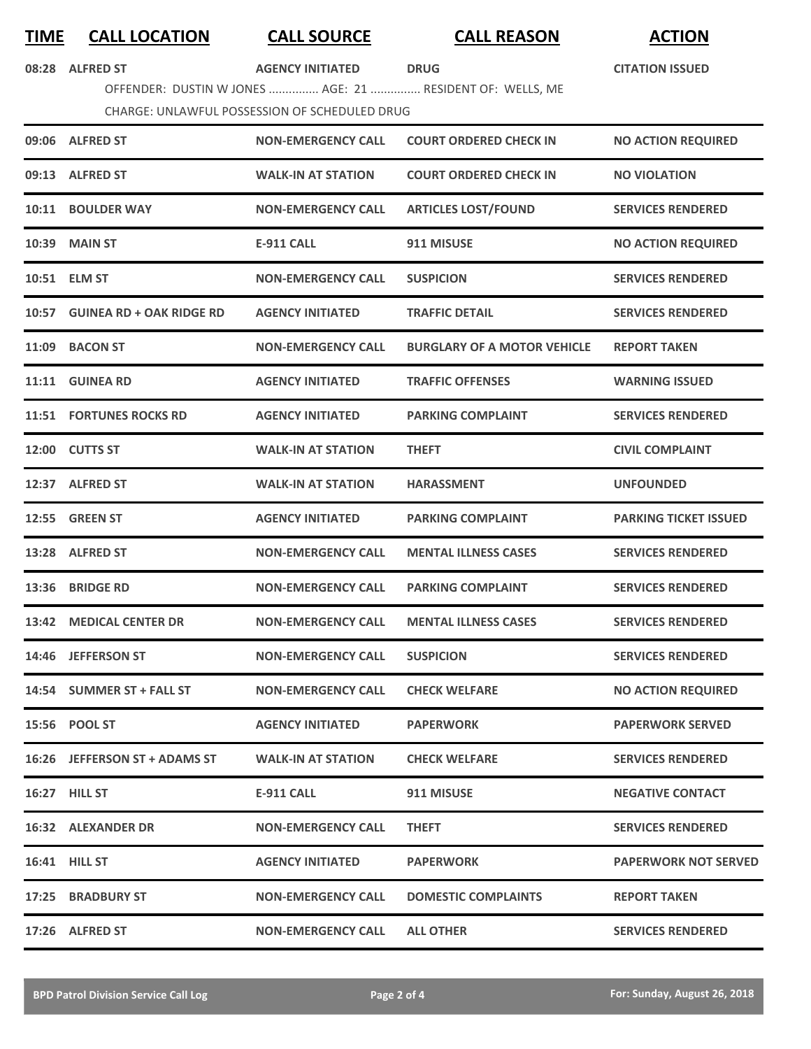## **TIME CALL LOCATION CALL SOURCE CALL REASON ACTION**

**CITATION ISSUED**

| 08:28 ALFRED ST | <b>AGENCY INITIATED</b> | <b>DRUG</b> |
|-----------------|-------------------------|-------------|

OFFENDER: DUSTIN W JONES ............... AGE: 21 ............... RESIDENT OF: WELLS, ME

### CHARGE: UNLAWFUL POSSESSION OF SCHEDULED DRUG

| 09:06 ALFRED ST                | <b>NON-EMERGENCY CALL</b> | <b>COURT ORDERED CHECK IN</b>      | <b>NO ACTION REQUIRED</b>    |
|--------------------------------|---------------------------|------------------------------------|------------------------------|
| 09:13 ALFRED ST                | <b>WALK-IN AT STATION</b> | <b>COURT ORDERED CHECK IN</b>      | <b>NO VIOLATION</b>          |
| 10:11 BOULDER WAY              | <b>NON-EMERGENCY CALL</b> | <b>ARTICLES LOST/FOUND</b>         | <b>SERVICES RENDERED</b>     |
| 10:39 MAIN ST                  | <b>E-911 CALL</b>         | 911 MISUSE                         | <b>NO ACTION REQUIRED</b>    |
| 10:51 ELM ST                   | <b>NON-EMERGENCY CALL</b> | <b>SUSPICION</b>                   | <b>SERVICES RENDERED</b>     |
| 10:57 GUINEA RD + OAK RIDGE RD | <b>AGENCY INITIATED</b>   | <b>TRAFFIC DETAIL</b>              | <b>SERVICES RENDERED</b>     |
| 11:09 BACON ST                 | <b>NON-EMERGENCY CALL</b> | <b>BURGLARY OF A MOTOR VEHICLE</b> | <b>REPORT TAKEN</b>          |
| 11:11 GUINEA RD                | <b>AGENCY INITIATED</b>   | <b>TRAFFIC OFFENSES</b>            | <b>WARNING ISSUED</b>        |
| <b>11:51 FORTUNES ROCKS RD</b> | <b>AGENCY INITIATED</b>   | <b>PARKING COMPLAINT</b>           | <b>SERVICES RENDERED</b>     |
| 12:00 CUTTS ST                 | <b>WALK-IN AT STATION</b> | <b>THEFT</b>                       | <b>CIVIL COMPLAINT</b>       |
| 12:37 ALFRED ST                | <b>WALK-IN AT STATION</b> | <b>HARASSMENT</b>                  | <b>UNFOUNDED</b>             |
| 12:55 GREEN ST                 | <b>AGENCY INITIATED</b>   | <b>PARKING COMPLAINT</b>           | <b>PARKING TICKET ISSUED</b> |
| 13:28 ALFRED ST                | <b>NON-EMERGENCY CALL</b> | <b>MENTAL ILLNESS CASES</b>        | <b>SERVICES RENDERED</b>     |
| 13:36 BRIDGE RD                | <b>NON-EMERGENCY CALL</b> | <b>PARKING COMPLAINT</b>           | <b>SERVICES RENDERED</b>     |
| 13:42 MEDICAL CENTER DR        | <b>NON-EMERGENCY CALL</b> | <b>MENTAL ILLNESS CASES</b>        | <b>SERVICES RENDERED</b>     |
| 14:46 JEFFERSON ST             | <b>NON-EMERGENCY CALL</b> | <b>SUSPICION</b>                   | <b>SERVICES RENDERED</b>     |
| 14:54 SUMMER ST + FALL ST      | <b>NON-EMERGENCY CALL</b> | <b>CHECK WELFARE</b>               | <b>NO ACTION REQUIRED</b>    |
| 15:56 POOL ST                  | <b>AGENCY INITIATED</b>   | <b>PAPERWORK</b>                   | <b>PAPERWORK SERVED</b>      |
| 16:26 JEFFERSON ST + ADAMS ST  | <b>WALK-IN AT STATION</b> | <b>CHECK WELFARE</b>               | <b>SERVICES RENDERED</b>     |
| 16:27 HILL ST                  | E-911 CALL                | 911 MISUSE                         | <b>NEGATIVE CONTACT</b>      |
| <b>16:32 ALEXANDER DR</b>      | <b>NON-EMERGENCY CALL</b> | <b>THEFT</b>                       | <b>SERVICES RENDERED</b>     |
| 16:41 HILL ST                  | <b>AGENCY INITIATED</b>   | <b>PAPERWORK</b>                   | <b>PAPERWORK NOT SERVED</b>  |
| 17:25 BRADBURY ST              | <b>NON-EMERGENCY CALL</b> | <b>DOMESTIC COMPLAINTS</b>         | <b>REPORT TAKEN</b>          |
| 17:26 ALFRED ST                | <b>NON-EMERGENCY CALL</b> | <b>ALL OTHER</b>                   | <b>SERVICES RENDERED</b>     |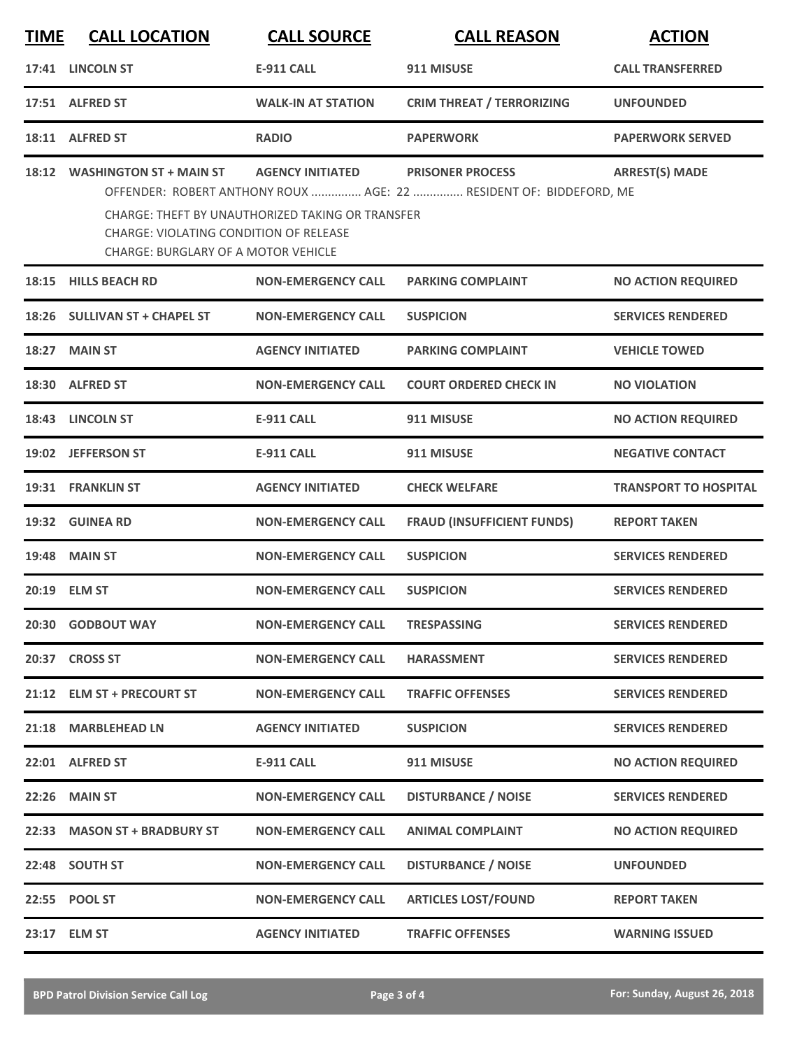| <b>TIME</b> | <b>CALL LOCATION</b>                                                                                                         | <b>CALL SOURCE</b>                                                          | <b>CALL REASON</b>                                                                            | <b>ACTION</b>                |
|-------------|------------------------------------------------------------------------------------------------------------------------------|-----------------------------------------------------------------------------|-----------------------------------------------------------------------------------------------|------------------------------|
|             | 17:41 LINCOLN ST                                                                                                             | <b>E-911 CALL</b>                                                           | 911 MISUSE                                                                                    | <b>CALL TRANSFERRED</b>      |
|             | 17:51 ALFRED ST                                                                                                              | <b>WALK-IN AT STATION</b>                                                   | <b>CRIM THREAT / TERRORIZING</b>                                                              | <b>UNFOUNDED</b>             |
|             | 18:11 ALFRED ST                                                                                                              | <b>RADIO</b>                                                                | <b>PAPERWORK</b>                                                                              | <b>PAPERWORK SERVED</b>      |
|             | 18:12 WASHINGTON ST + MAIN ST<br><b>CHARGE: VIOLATING CONDITION OF RELEASE</b><br><b>CHARGE: BURGLARY OF A MOTOR VEHICLE</b> | <b>AGENCY INITIATED</b><br>CHARGE: THEFT BY UNAUTHORIZED TAKING OR TRANSFER | <b>PRISONER PROCESS</b><br>OFFENDER: ROBERT ANTHONY ROUX  AGE: 22  RESIDENT OF: BIDDEFORD, ME | <b>ARREST(S) MADE</b>        |
|             | 18:15 HILLS BEACH RD                                                                                                         | <b>NON-EMERGENCY CALL</b>                                                   | <b>PARKING COMPLAINT</b>                                                                      | <b>NO ACTION REQUIRED</b>    |
|             | 18:26 SULLIVAN ST + CHAPEL ST                                                                                                | <b>NON-EMERGENCY CALL</b>                                                   | <b>SUSPICION</b>                                                                              | <b>SERVICES RENDERED</b>     |
|             | 18:27 MAIN ST                                                                                                                | <b>AGENCY INITIATED</b>                                                     | <b>PARKING COMPLAINT</b>                                                                      | <b>VEHICLE TOWED</b>         |
|             | 18:30 ALFRED ST                                                                                                              | <b>NON-EMERGENCY CALL</b>                                                   | <b>COURT ORDERED CHECK IN</b>                                                                 | <b>NO VIOLATION</b>          |
|             | 18:43 LINCOLN ST                                                                                                             | <b>E-911 CALL</b>                                                           | 911 MISUSE                                                                                    | <b>NO ACTION REQUIRED</b>    |
| 19:02       | <b>JEFFERSON ST</b>                                                                                                          | <b>E-911 CALL</b>                                                           | 911 MISUSE                                                                                    | <b>NEGATIVE CONTACT</b>      |
|             | 19:31 FRANKLIN ST                                                                                                            | <b>AGENCY INITIATED</b>                                                     | <b>CHECK WELFARE</b>                                                                          | <b>TRANSPORT TO HOSPITAL</b> |
|             | 19:32 GUINEA RD                                                                                                              | <b>NON-EMERGENCY CALL</b>                                                   | <b>FRAUD (INSUFFICIENT FUNDS)</b>                                                             | <b>REPORT TAKEN</b>          |
|             | <b>19:48 MAIN ST</b>                                                                                                         | <b>NON-EMERGENCY CALL</b>                                                   | <b>SUSPICION</b>                                                                              | <b>SERVICES RENDERED</b>     |
|             | 20:19 ELM ST                                                                                                                 | <b>NON-EMERGENCY CALL</b>                                                   | <b>SUSPICION</b>                                                                              | <b>SERVICES RENDERED</b>     |
|             | 20:30 GODBOUT WAY                                                                                                            | <b>NON-EMERGENCY CALL</b>                                                   | <b>TRESPASSING</b>                                                                            | <b>SERVICES RENDERED</b>     |
|             | 20:37 CROSS ST                                                                                                               | <b>NON-EMERGENCY CALL</b>                                                   | <b>HARASSMENT</b>                                                                             | <b>SERVICES RENDERED</b>     |
|             | 21:12 ELM ST + PRECOURT ST                                                                                                   | <b>NON-EMERGENCY CALL</b>                                                   | <b>TRAFFIC OFFENSES</b>                                                                       | <b>SERVICES RENDERED</b>     |
|             | 21:18 MARBLEHEAD LN                                                                                                          | <b>AGENCY INITIATED</b>                                                     | <b>SUSPICION</b>                                                                              | <b>SERVICES RENDERED</b>     |
|             | 22:01 ALFRED ST                                                                                                              | <b>E-911 CALL</b>                                                           | 911 MISUSE                                                                                    | <b>NO ACTION REQUIRED</b>    |
| 22:26       | <b>MAIN ST</b>                                                                                                               | <b>NON-EMERGENCY CALL</b>                                                   | <b>DISTURBANCE / NOISE</b>                                                                    | <b>SERVICES RENDERED</b>     |
|             | 22:33 MASON ST + BRADBURY ST                                                                                                 | <b>NON-EMERGENCY CALL</b>                                                   | <b>ANIMAL COMPLAINT</b>                                                                       | <b>NO ACTION REQUIRED</b>    |
|             | 22:48 SOUTH ST                                                                                                               | <b>NON-EMERGENCY CALL</b>                                                   | <b>DISTURBANCE / NOISE</b>                                                                    | <b>UNFOUNDED</b>             |
|             | 22:55 POOL ST                                                                                                                | <b>NON-EMERGENCY CALL</b>                                                   | <b>ARTICLES LOST/FOUND</b>                                                                    | <b>REPORT TAKEN</b>          |
|             | 23:17 ELM ST                                                                                                                 | <b>AGENCY INITIATED</b>                                                     | <b>TRAFFIC OFFENSES</b>                                                                       | <b>WARNING ISSUED</b>        |